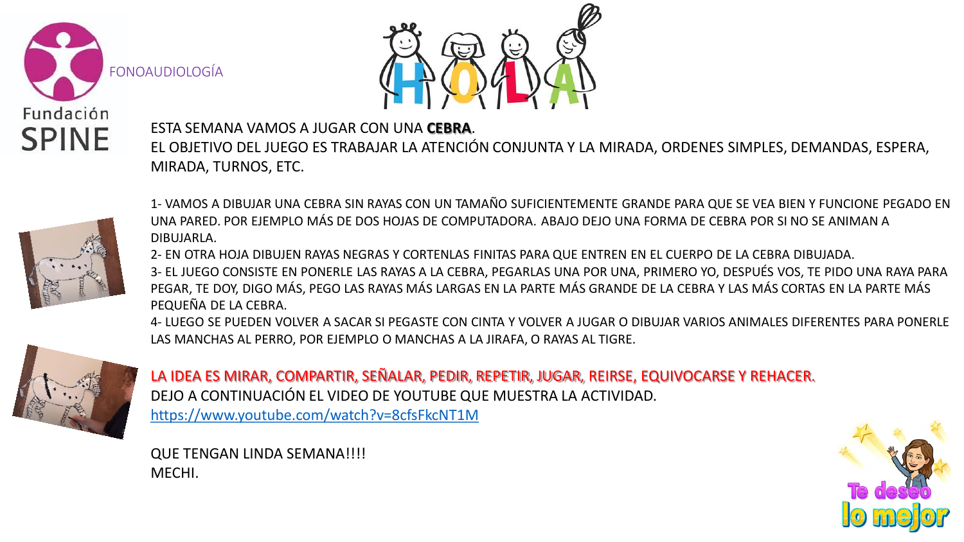



ESTA SEMANA VAMOS A JUGAR CON UNA **CEBRA**.

EL OBJETIVO DEL JUEGO ES TRABAJAR LA ATENCIÓN CONJUNTA Y LA MIRADA, ORDENES SIMPLES, DEMANDAS, ESPERA, MIRADA, TURNOS, ETC.



1- VAMOS A DIBUJAR UNA CEBRA SIN RAYAS CON UN TAMAÑO SUFICIENTEMENTE GRANDE PARA QUE SE VEA BIEN Y FUNCIONE PEGADO EN UNA PARED. POR EJEMPLO MÁS DE DOS HOJAS DE COMPUTADORA. ABAJO DEJO UNA FORMA DE CEBRA POR SI NO SE ANIMAN A DIBUJARLA.

2- EN OTRA HOJA DIBUJEN RAYAS NEGRAS Y CORTENLAS FINITAS PARA QUE ENTREN EN EL CUERPO DE LA CEBRA DIBUJADA. 3- EL JUEGO CONSISTE EN PONERLE LAS RAYAS A LA CEBRA, PEGARLAS UNA POR UNA, PRIMERO YO, DESPUÉS VOS, TE PIDO UNA RAYA PARA PEGAR, TE DOY, DIGO MÁS, PEGO LAS RAYAS MÁS LARGAS EN LA PARTE MÁS GRANDE DE LA CEBRA Y LAS MÁS CORTAS EN LA PARTE MÁS PEQUEÑA DE LA CEBRA.

4- LUEGO SE PUEDEN VOLVER A SACAR SI PEGASTE CON CINTA Y VOLVER A JUGAR O DIBUJAR VARIOS ANIMALES DIFERENTES PARA PONERLE LAS MANCHAS AL PERRO, POR EJEMPLO O MANCHAS A LA JIRAFA, O RAYAS AL TIGRE.



LA IDEA ES MIRAR, COMPARTIR, SEÑALAR, PEDIR, REPETIR, JUGAR, REIRSE, EQUIVOCARSE Y REHACER. DEJO A CONTINUACIÓN EL VIDEO DE YOUTUBE QUE MUESTRA LA ACTIVIDAD. <https://www.youtube.com/watch?v=8cfsFkcNT1M>

QUE TENGAN LINDA SEMANA!!!! MECHI.

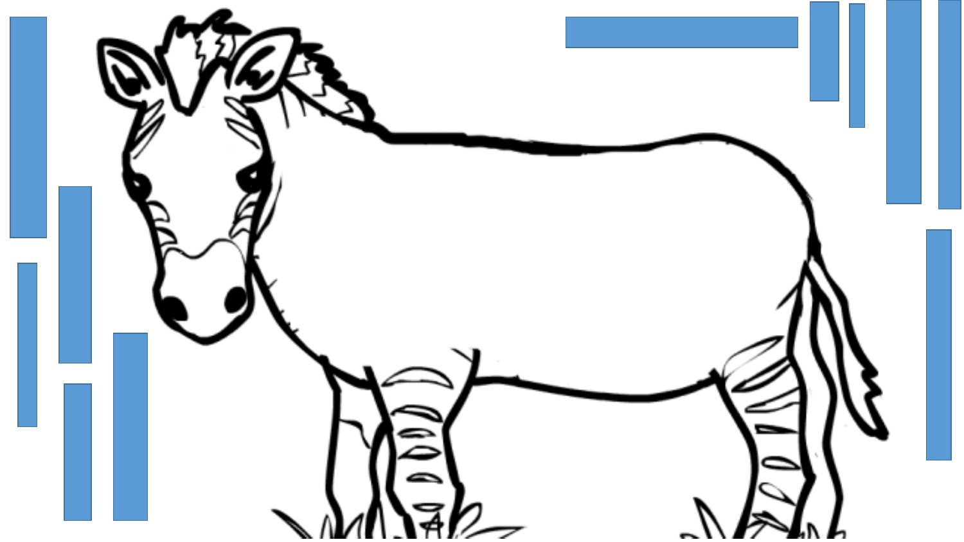